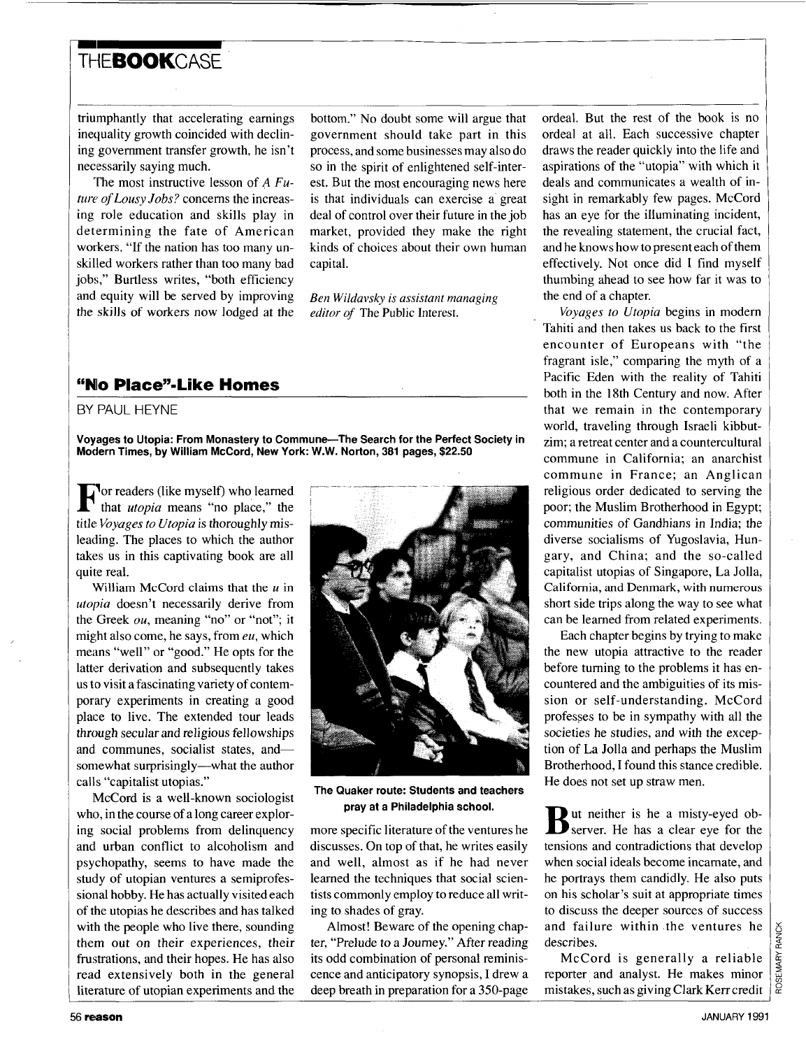## **m**<br>The AAK of Section 2008 TH**FBOOK**CASE

triumphantly that accelerating earnings inequality growth coincided with declining government transfer growth, he isn't necessarily saying much.

'The most instructive lesson of *A Future of Lousy Jobs?* concerns the increasing role education and skills play in determining the fate of American workers. "If the nation has too many unskilled workers rather than too many bad jobs," Burtless writes, "both efficiency and equity will be served by improving the skills of workers now lodged at the

bottom." No doubt some will argue that government should take part in this process, and some businesses may also do so in the spirit of enlightened self-interest. But the most encouraging news here is that individuals can exercise a great deal of control over their future in the job market, provided they make the right kinds of choices about their own human capital.

*Ben Wildavsky* is *assistant managing editor of* The Public Interest.

## **"No Place"-Like Homes**

## BY PAUL HEYNE

**Voyages to Utopia: From Monastery to Commune-The Search for the Perfect Society in Modern Times, by William McCord, New York: W.W. Norton, 381 pages, \$22.50** 

**For readers (like myself) who learned** that *utopia* means "no place," the title *Voyages to Utopia* is thoroughly misleading. The places to which the author takes us in this captivating book are all quite real.

'vVilliam McCord claims that the *u* in *utopia* doesn't necessarily derive from the Greek *ou,* meaning "no" or "not"; it might also come, he says, from *eu,* which means "well" or "good." He opts for the latter derivation and subsequently takes us to visit afascinating variety of contemporary experiments in creating a good place to live. The extended tour leads through secular and religious fellowships and communes, socialist states, andsomewhat surprisingly--what the author calls "capitalist utopias."

McCord is a well-known sociologist who, in the course of a long career exploring social problems from delinquency and urban conflict to alcoholism and psychopathy, seems to have made the study of utopian ventures a semiprofessional hobby. He has actually visited each of the utopias he describes and has talked with the people who live there, sounding them out on their experiences, their frustrations, and their hopes. He has also read extensively both in the general literature of utopian experiments and the



**The Quaker route: Students and teachers pray at a Philadelphia school.** 

more specific literature of the ventures he discusses. On top of that, he writes easily and well, almost as if he had never learned the techniques that social scientists commonly employ to reduce all writing to shades of gray.

Almost! Beware of the opening chapter, "Prelude to a Journey." After reading its odd combination of personal reminiscence and anticipatory synopsis, I drew a deep breath in preparation for a 350-page ordeal. But the rest of the book is no ordeal at all. Each successive chapter draws the reader quickly into the life and aspirations of the "utopia" with which it deals and communicates a wealth of insight in remarkably few pages. McCord has an eye for the illuminating incident, the revealing statement, the crucial fact, and he knows how to present each of them effectively. Not once did I find myself thumbing ahead to see how far it was to the end of a chapter.

*Voyages to Utopia* begins in modern Tahiti and then takes us back to the first encounter of Europeans with "the fragrant isle," comparing the myth of a Pacific Eden with the reality of Tahiti both in the 18th Century and now. After that we remain in the contemporary world, traveling through Israeli kibbutzim; a retreat center and a countercultural commune in California; an anarchist commune in France; an Anglican religious order dedicated to serving the poor; the Muslim Brotherhood in Egypt; communities of Gandhians in India; the diverse socialisms of Yugoslavia, Hungary, and China; and the so-called capitalist utopias of Singapore, La Jolla, California, **and** Denmark, with numerous short side trips along the way to see what can be learned from related experiments.

Each chapter begins by trying to make the new utopia attractive to the reader before turning to the problems it has encountered and the ambiguities of its mission or self-understanding. McCord professes to be in sympathy with all the societies he studies, and with the exception of La Jolla and perhaps the Muslim Brotherhood, **I** found this stance credible. He does not set up straw men.

But neither is he a misty-eyed ob-<br>**B** server. He has a clear eye for the tensions and contradictions that develop when social ideals become incarnate, and he portrays them candidly. He also puts on his scholar's suit at appropriate times to discuss the deeper sources of success and failure within .the ventures he describes.

McCord is generally a reliable reporter and analyst. He makes minor mistakes, such as giving Clark Kerrcredit